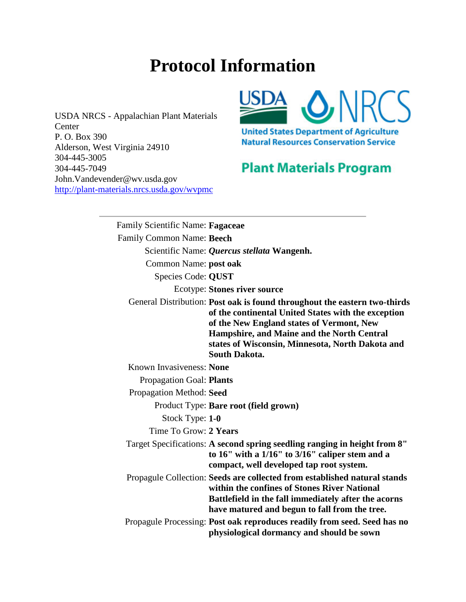## **Protocol Information**

USDA NRCS - Appalachian Plant Materials **Center** P. O. Box 390 Alderson, West Virginia 24910 304-445-3005 304-445-7049 John.Vandevender@wv.usda.gov [http://plant-materials.nrcs.usda.gov/wvpmc](http://www.nativeplantnetwork.org/Network/%20%20%20%20%20http:/plant-materials.nrcs.usda.gov/wvpmc) 



## **Plant Materials Program**

Family Scientific Name: **Fagaceae** Family Common Name: **Beech** Scientific Name: *Quercus stellata* **Wangenh.**  Common Name: **post oak**  Species Code: **QUST**  Ecotype: **Stones river source** General Distribution: **Post oak is found throughout the eastern two-thirds of the continental United States with the exception of the New England states of Vermont, New Hampshire, and Maine and the North Central states of Wisconsin, Minnesota, North Dakota and South Dakota.** Known Invasiveness: **None** Propagation Goal: **Plants** Propagation Method: **Seed** Product Type: **Bare root (field grown)** Stock Type: **1-0** Time To Grow: **2 Years** Target Specifications: **A second spring seedling ranging in height from 8" to 16" with a 1/16" to 3/16" caliper stem and a compact, well developed tap root system.** Propagule Collection: **Seeds are collected from established natural stands within the confines of Stones River National Battlefield in the fall immediately after the acorns have matured and begun to fall from the tree.** Propagule Processing: **Post oak reproduces readily from seed. Seed has no physiological dormancy and should be sown**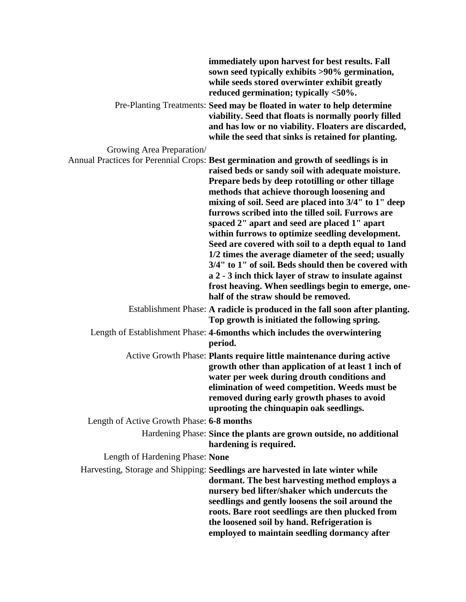|                                           | immediately upon harvest for best results. Fall<br>sown seed typically exhibits >90% germination,<br>while seeds stored overwinter exhibit greatly<br>reduced germination; typically <50%.                                                                                                                                                                                                                                                                                                                                                                                                                                                                                                                                                                                                    |
|-------------------------------------------|-----------------------------------------------------------------------------------------------------------------------------------------------------------------------------------------------------------------------------------------------------------------------------------------------------------------------------------------------------------------------------------------------------------------------------------------------------------------------------------------------------------------------------------------------------------------------------------------------------------------------------------------------------------------------------------------------------------------------------------------------------------------------------------------------|
|                                           | Pre-Planting Treatments: Seed may be floated in water to help determine<br>viability. Seed that floats is normally poorly filled<br>and has low or no viability. Floaters are discarded,<br>while the seed that sinks is retained for planting.                                                                                                                                                                                                                                                                                                                                                                                                                                                                                                                                               |
| Growing Area Preparation/                 |                                                                                                                                                                                                                                                                                                                                                                                                                                                                                                                                                                                                                                                                                                                                                                                               |
|                                           | Annual Practices for Perennial Crops: Best germination and growth of seedlings is in<br>raised beds or sandy soil with adequate moisture.<br>Prepare beds by deep rototilling or other tillage<br>methods that achieve thorough loosening and<br>mixing of soil. Seed are placed into 3/4" to 1" deep<br>furrows scribed into the tilled soil. Furrows are<br>spaced 2" apart and seed are placed 1" apart<br>within furrows to optimize seedling development.<br>Seed are covered with soil to a depth equal to 1 and<br>1/2 times the average diameter of the seed; usually<br>3/4" to 1" of soil. Beds should then be covered with<br>a 2 - 3 inch thick layer of straw to insulate against<br>frost heaving. When seedlings begin to emerge, one-<br>half of the straw should be removed. |
|                                           | Establishment Phase: A radicle is produced in the fall soon after planting.<br>Top growth is initiated the following spring.                                                                                                                                                                                                                                                                                                                                                                                                                                                                                                                                                                                                                                                                  |
|                                           | Length of Establishment Phase: 4-6months which includes the overwintering<br>period.                                                                                                                                                                                                                                                                                                                                                                                                                                                                                                                                                                                                                                                                                                          |
|                                           | Active Growth Phase: Plants require little maintenance during active<br>growth other than application of at least 1 inch of<br>water per week during drouth conditions and<br>elimination of weed competition. Weeds must be<br>removed during early growth phases to avoid<br>uprooting the chinquapin oak seedlings.                                                                                                                                                                                                                                                                                                                                                                                                                                                                        |
| Length of Active Growth Phase: 6-8 months |                                                                                                                                                                                                                                                                                                                                                                                                                                                                                                                                                                                                                                                                                                                                                                                               |
|                                           | Hardening Phase: Since the plants are grown outside, no additional<br>hardening is required.                                                                                                                                                                                                                                                                                                                                                                                                                                                                                                                                                                                                                                                                                                  |
| Length of Hardening Phase: None           |                                                                                                                                                                                                                                                                                                                                                                                                                                                                                                                                                                                                                                                                                                                                                                                               |
|                                           | Harvesting, Storage and Shipping: Seedlings are harvested in late winter while<br>dormant. The best harvesting method employs a<br>nursery bed lifter/shaker which undercuts the<br>seedlings and gently loosens the soil around the<br>roots. Bare root seedlings are then plucked from<br>the loosened soil by hand. Refrigeration is<br>employed to maintain seedling dormancy after                                                                                                                                                                                                                                                                                                                                                                                                       |